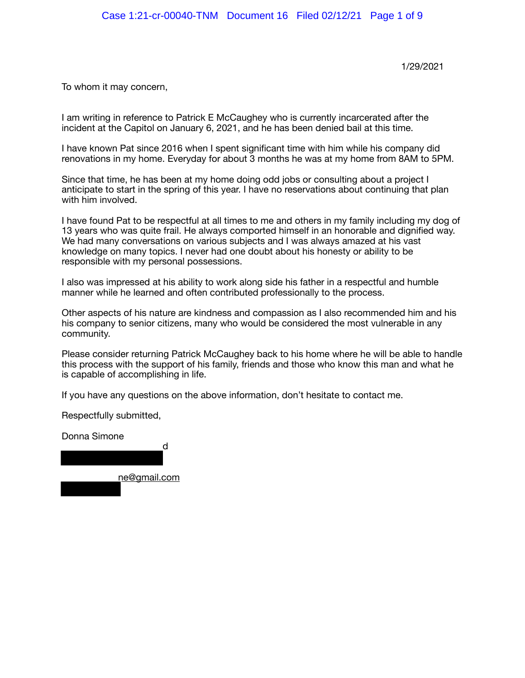1/29/2021

To whom it may concern, 

I am writing in reference to Patrick E McCaughey who is currently incarcerated after the incident at the Capitol on January 6, 2021, and he has been denied bail at this time.

I have known Pat since 2016 when I spent significant time with him while his company did renovations in my home. Everyday for about 3 months he was at my home from 8AM to 5PM.

Since that time, he has been at my home doing odd jobs or consulting about a project I anticipate to start in the spring of this year. I have no reservations about continuing that plan with him involved.

I have found Pat to be respectful at all times to me and others in my family including my dog of 13 years who was quite frail. He always comported himself in an honorable and dignified way. We had many conversations on various subjects and I was always amazed at his vast knowledge on many topics. I never had one doubt about his honesty or ability to be responsible with my personal possessions.

I also was impressed at his ability to work along side his father in a respectful and humble manner while he learned and often contributed professionally to the process.

Other aspects of his nature are kindness and compassion as I also recommended him and his his company to senior citizens, many who would be considered the most vulnerable in any community.

Please consider returning Patrick McCaughey back to his home where he will be able to handle this process with the support of his family, friends and those who know this man and what he is capable of accomplishing in life.

If you have any questions on the above information, don't hesitate to contact me.

Respectfully submitted,

Donna Simone d ne@gmail.com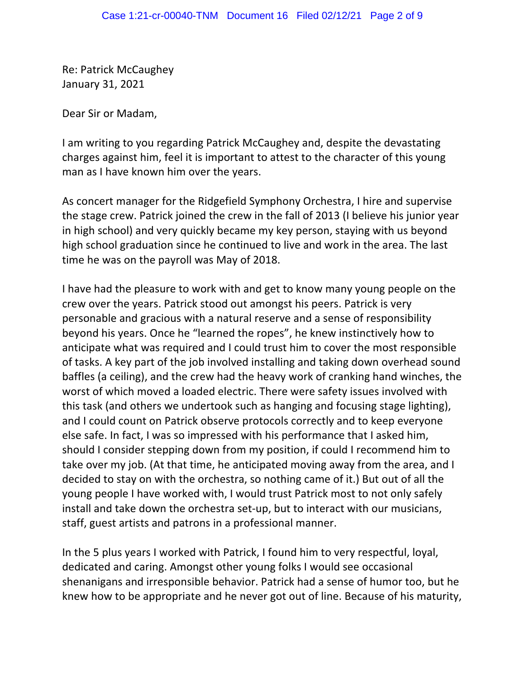Re: Patrick McCaughey January 31, 2021

Dear Sir or Madam,

I am writing to you regarding Patrick McCaughey and, despite the devastating charges against him, feel it is important to attest to the character of this young man as I have known him over the years.

As concert manager for the Ridgefield Symphony Orchestra, I hire and supervise the stage crew. Patrick joined the crew in the fall of 2013 (I believe his junior year in high school) and very quickly became my key person, staying with us beyond high school graduation since he continued to live and work in the area. The last time he was on the payroll was May of 2018.

I have had the pleasure to work with and get to know many young people on the crew over the years. Patrick stood out amongst his peers. Patrick is very personable and gracious with a natural reserve and a sense of responsibility beyond his years. Once he "learned the ropes", he knew instinctively how to anticipate what was required and I could trust him to cover the most responsible of tasks. A key part of the job involved installing and taking down overhead sound baffles (a ceiling), and the crew had the heavy work of cranking hand winches, the worst of which moved a loaded electric. There were safety issues involved with this task (and others we undertook such as hanging and focusing stage lighting), and I could count on Patrick observe protocols correctly and to keep everyone else safe. In fact, I was so impressed with his performance that I asked him, should I consider stepping down from my position, if could I recommend him to take over my job. (At that time, he anticipated moving away from the area, and I decided to stay on with the orchestra, so nothing came of it.) But out of all the young people I have worked with, I would trust Patrick most to not only safely install and take down the orchestra set-up, but to interact with our musicians, staff, guest artists and patrons in a professional manner.

In the 5 plus years I worked with Patrick, I found him to very respectful, loyal, dedicated and caring. Amongst other young folks I would see occasional shenanigans and irresponsible behavior. Patrick had a sense of humor too, but he knew how to be appropriate and he never got out of line. Because of his maturity,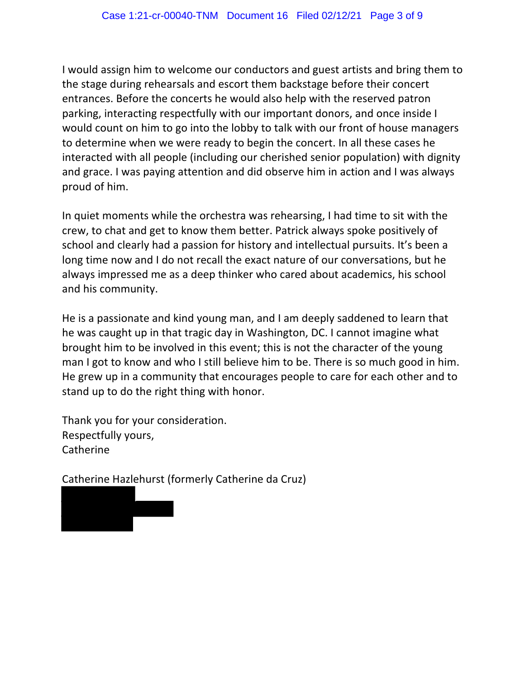I would assign him to welcome our conductors and guest artists and bring them to the stage during rehearsals and escort them backstage before their concert entrances. Before the concerts he would also help with the reserved patron parking, interacting respectfully with our important donors, and once inside I would count on him to go into the lobby to talk with our front of house managers to determine when we were ready to begin the concert. In all these cases he interacted with all people (including our cherished senior population) with dignity and grace. I was paying attention and did observe him in action and I was always proud of him.

In quiet moments while the orchestra was rehearsing, I had time to sit with the crew, to chat and get to know them better. Patrick always spoke positively of school and clearly had a passion for history and intellectual pursuits. It's been a long time now and I do not recall the exact nature of our conversations, but he always impressed me as a deep thinker who cared about academics, his school and his community.

He is a passionate and kind young man, and I am deeply saddened to learn that he was caught up in that tragic day in Washington, DC. I cannot imagine what brought him to be involved in this event; this is not the character of the young man I got to know and who I still believe him to be. There is so much good in him. He grew up in a community that encourages people to care for each other and to stand up to do the right thing with honor.

Thank you for your consideration. Respectfully yours, **Catherine** 

Catherine Hazlehurst (formerly Catherine da Cruz)

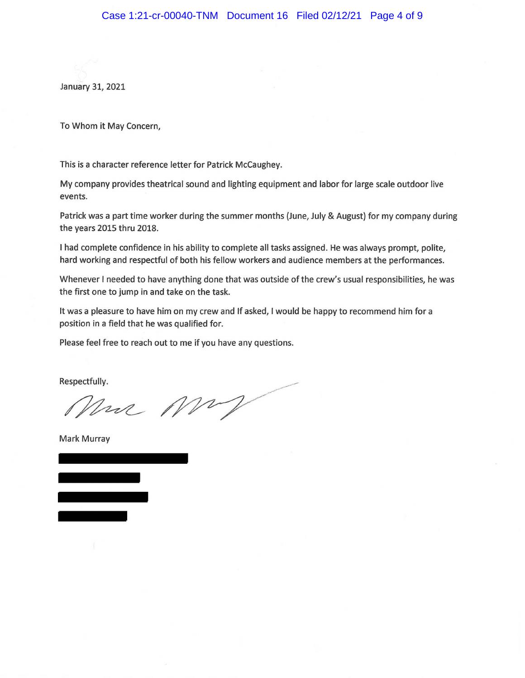January 31, 2021

To Whom it May Concern,

This is a character reference letter for Patrick McCaughey.

My company provides theatrical sound and lighting equipment and labor for large scale outdoor live events.

Patrick was a part time worker during the summer months (June, July & August) for my company during the years 2015 thru 2018.

I had complete confidence in his ability to complete all tasks assigned. He was always prompt, polite, hard working and respectful of both his fellow workers and audience members at the performances.

Whenever I needed to have anything done that was outside of the *crew's* usual responsibilities, he was the first one to jump in and take on the task.

It was a pleasure to have him on my crew and If asked, I would be happy to recommend him for a position in a field that he was qualified for.

Please feel free to reach out to me if you have any questions.

Respectfully.

Mrs MM

Mark Murray

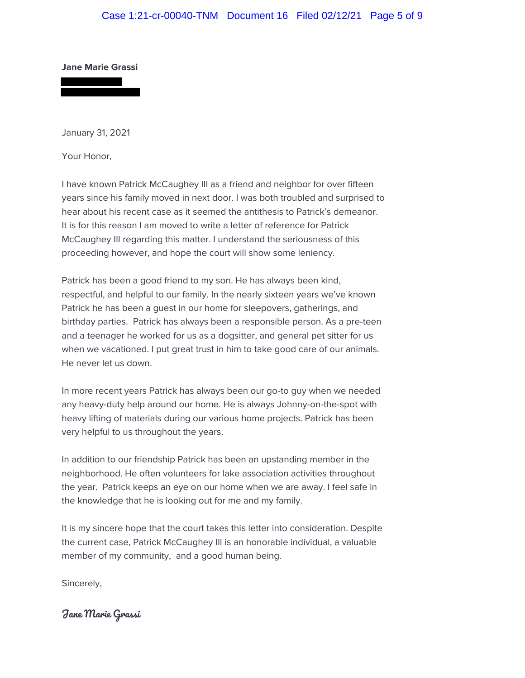## Case 1:21-cr-00040-TNM Document 16 Filed 02/12/21 Page 5 of 9

#### **Jane Marie Grassi**

January 31, 2021

Your Honor,

I have known Patrick McCaughey III as a friend and neighbor for over fifteen years since his family moved in next door. I was both troubled and surprised to hear about his recent case as it seemed the antithesis to Patrick's demeanor. It is for this reason I am moved to write a letter of reference for Patrick McCaughey III regarding this matter. I understand the seriousness of this proceeding however, and hope the court will show some leniency.

Patrick has been a good friend to my son. He has always been kind, respectful, and helpful to our family. In the nearly sixteen years we've known Patrick he has been a guest in our home for sleepovers, gatherings, and birthday parties. Patrick has always been a responsible person. As a pre-teen and a teenager he worked for us as a dogsitter, and general pet sitter for us when we vacationed. I put great trust in him to take good care of our animals. He never let us down.

In more recent years Patrick has always been our go-to guy when we needed any heavy-duty help around our home. He is always Johnny-on-the-spot with heavy lifting of materials during our various home projects. Patrick has been very helpful to us throughout the years.

In addition to our friendship Patrick has been an upstanding member in the neighborhood. He often volunteers for lake association activities throughout the year. Patrick keeps an eye on our home when we are away. I feel safe in the knowledge that he is looking out for me and my family.

It is my sincere hope that the court takes this letter into consideration. Despite the current case, Patrick McCaughey III is an honorable individual, a valuable member of my community, and a good human being.

Sincerely,

Jane Marie Grassi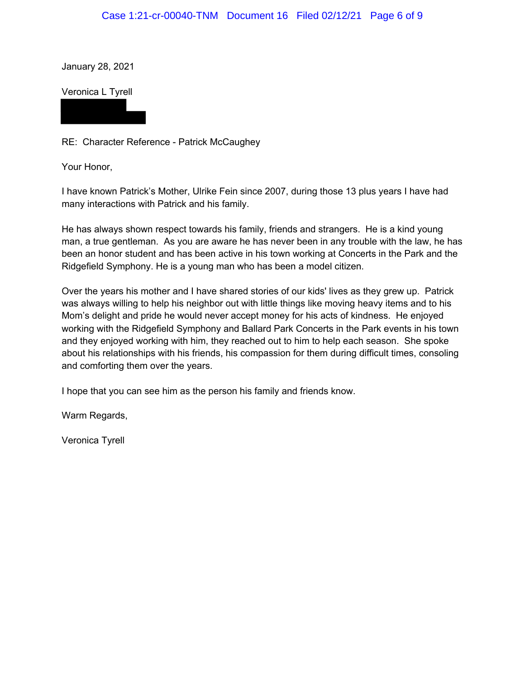### Case 1:21-cr-00040-TNM Document 16 Filed 02/12/21 Page 6 of 9

January 28, 2021

Veronica L Tyrell

RE: Character Reference - Patrick McCaughey

Your Honor,

I have known Patrick's Mother, Ulrike Fein since 2007, during those 13 plus years I have had many interactions with Patrick and his family.

He has always shown respect towards his family, friends and strangers. He is a kind young man, a true gentleman. As you are aware he has never been in any trouble with the law, he has been an honor student and has been active in his town working at Concerts in the Park and the Ridgefield Symphony. He is a young man who has been a model citizen.

Over the years his mother and I have shared stories of our kids' lives as they grew up. Patrick was always willing to help his neighbor out with little things like moving heavy items and to his Mom's delight and pride he would never accept money for his acts of kindness. He enjoyed working with the Ridgefield Symphony and Ballard Park Concerts in the Park events in his town and they enjoyed working with him, they reached out to him to help each season. She spoke about his relationships with his friends, his compassion for them during difficult times, consoling and comforting them over the years.

I hope that you can see him as the person his family and friends know.

Warm Regards,

Veronica Tyrell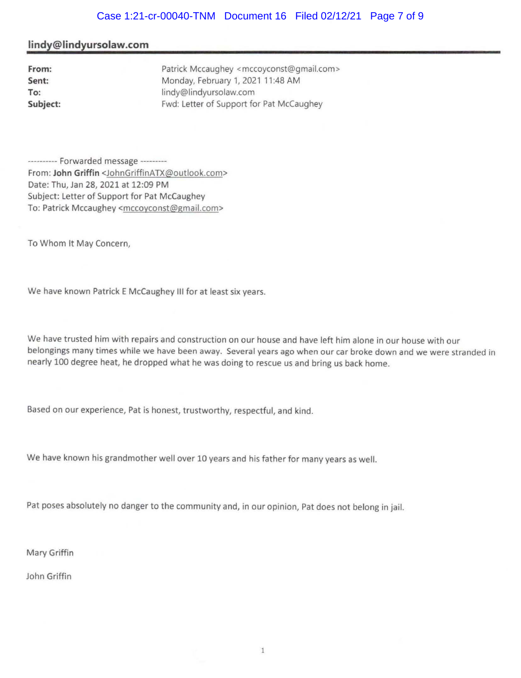# Case 1:21-cr-00040-TNM Document 16 Filed 02/12/21 Page 7 of 9

#### **lindy@lindyursolaw.com**

| From:    |  |
|----------|--|
| Sent:    |  |
| To:      |  |
| Subject: |  |

Patrick Mccaughey <mccoyconst@gmail.com> Monday, February 1, 2021 11 :48 AM lindy@lindyursolaw.com Fwd: Letter of Support for Pat McCaughey

---------- Forwarded message --------- From: **John Griffin** <JohnGriffinATX@outlook.com> Date: Thu, Jan 28, 2021 at 12:09 PM Subject: Letter of Support for Pat McCaughey To: Patrick Mccaughey <mccoyconst@gmail.com>

To Whom It May Concern,

We have known Patrick E McCaughey Ill for at least six years.

We have trusted him with repairs and construction on our house and have left him alone in our house with our belongings many times while we have been away. Several years ago when our car broke down and we were stranded in nearly 100 degree heat, he dropped what he was doing to rescue us and bring us back home.

Based on our experience, Pat is honest, trustworthy, respectful, and kind.

We have known his grandmother well over 10 years and his father for many years as well.

Pat poses absolutely no danger to the community and, in our opinion, Pat does not belong in jail.

Mary Griffin

John Griffin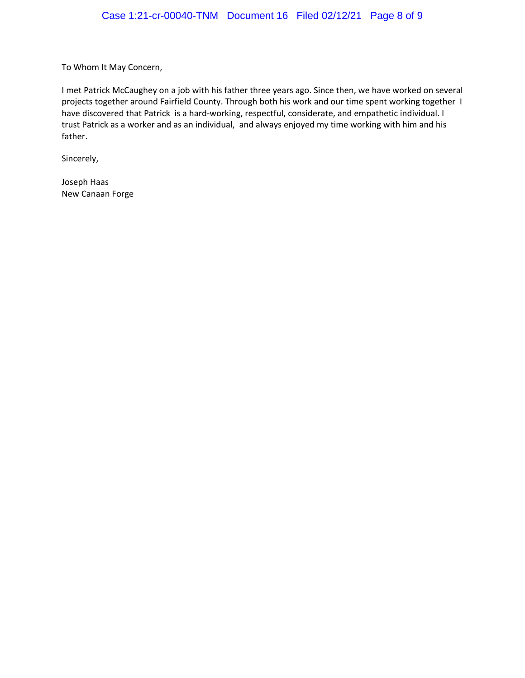To Whom It May Concern,

I met Patrick McCaughey on a job with his father three years ago. Since then, we have worked on several projects together around Fairfield County. Through both his work and our time spent working together I have discovered that Patrick is a hard-working, respectful, considerate, and empathetic individual. I trust Patrick as a worker and as an individual, and always enjoyed my time working with him and his father. 

Sincerely, 

Joseph Haas New Canaan Forge